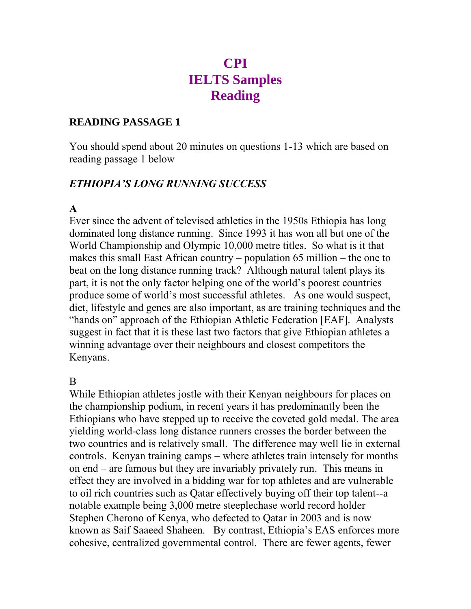# **CPI IELTS Samples Reading**

## **READING PASSAGE 1**

You should spend about 20 minutes on questions 1-13 which are based on reading passage 1 below

## *ETHIOPIA'S LONG RUNNING SUCCESS*

## **A**

Ever since the advent of televised athletics in the 1950s Ethiopia has long dominated long distance running. Since 1993 it has won all but one of the World Championship and Olympic 10,000 metre titles. So what is it that makes this small East African country – population 65 million – the one to beat on the long distance running track? Although natural talent plays its part, it is not the only factor helping one of the world"s poorest countries produce some of world"s most successful athletes. As one would suspect, diet, lifestyle and genes are also important, as are training techniques and the "hands on" approach of the Ethiopian Athletic Federation [EAF]. Analysts suggest in fact that it is these last two factors that give Ethiopian athletes a winning advantage over their neighbours and closest competitors the Kenyans.

## B

While Ethiopian athletes jostle with their Kenyan neighbours for places on the championship podium, in recent years it has predominantly been the Ethiopians who have stepped up to receive the coveted gold medal. The area yielding world-class long distance runners crosses the border between the two countries and is relatively small. The difference may well lie in external controls. Kenyan training camps – where athletes train intensely for months on end – are famous but they are invariably privately run. This means in effect they are involved in a bidding war for top athletes and are vulnerable to oil rich countries such as Qatar effectively buying off their top talent--a notable example being 3,000 metre steeplechase world record holder Stephen Cherono of Kenya, who defected to Qatar in 2003 and is now known as Saif Saaeed Shaheen. By contrast, Ethiopia"s EAS enforces more cohesive, centralized governmental control. There are fewer agents, fewer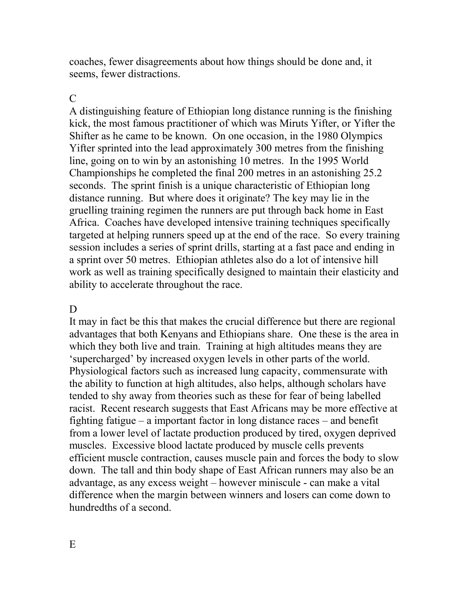coaches, fewer disagreements about how things should be done and, it seems, fewer distractions.

### $\mathcal{C}$

A distinguishing feature of Ethiopian long distance running is the finishing kick, the most famous practitioner of which was Miruts Yifter, or Yifter the Shifter as he came to be known. On one occasion, in the 1980 Olympics Yifter sprinted into the lead approximately 300 metres from the finishing line, going on to win by an astonishing 10 metres. In the 1995 World Championships he completed the final 200 metres in an astonishing 25.2 seconds. The sprint finish is a unique characteristic of Ethiopian long distance running. But where does it originate? The key may lie in the gruelling training regimen the runners are put through back home in East Africa. Coaches have developed intensive training techniques specifically targeted at helping runners speed up at the end of the race. So every training session includes a series of sprint drills, starting at a fast pace and ending in a sprint over 50 metres. Ethiopian athletes also do a lot of intensive hill work as well as training specifically designed to maintain their elasticity and ability to accelerate throughout the race.

#### D

It may in fact be this that makes the crucial difference but there are regional advantages that both Kenyans and Ethiopians share. One these is the area in which they both live and train. Training at high altitudes means they are "supercharged" by increased oxygen levels in other parts of the world. Physiological factors such as increased lung capacity, commensurate with the ability to function at high altitudes, also helps, although scholars have tended to shy away from theories such as these for fear of being labelled racist. Recent research suggests that East Africans may be more effective at fighting fatigue – a important factor in long distance races – and benefit from a lower level of lactate production produced by tired, oxygen deprived muscles. Excessive blood lactate produced by muscle cells prevents efficient muscle contraction, causes muscle pain and forces the body to slow down. The tall and thin body shape of East African runners may also be an advantage, as any excess weight – however miniscule - can make a vital difference when the margin between winners and losers can come down to hundredths of a second.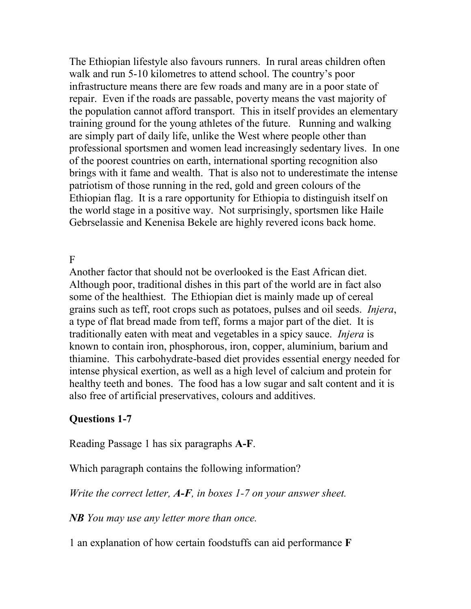The Ethiopian lifestyle also favours runners. In rural areas children often walk and run 5-10 kilometres to attend school. The country's poor infrastructure means there are few roads and many are in a poor state of repair. Even if the roads are passable, poverty means the vast majority of the population cannot afford transport. This in itself provides an elementary training ground for the young athletes of the future. Running and walking are simply part of daily life, unlike the West where people other than professional sportsmen and women lead increasingly sedentary lives. In one of the poorest countries on earth, international sporting recognition also brings with it fame and wealth. That is also not to underestimate the intense patriotism of those running in the red, gold and green colours of the Ethiopian flag. It is a rare opportunity for Ethiopia to distinguish itself on the world stage in a positive way. Not surprisingly, sportsmen like Haile Gebrselassie and Kenenisa Bekele are highly revered icons back home.

F

Another factor that should not be overlooked is the East African diet. Although poor, traditional dishes in this part of the world are in fact also some of the healthiest. The Ethiopian diet is mainly made up of cereal grains such as teff, root crops such as potatoes, pulses and oil seeds. *Injera*, a type of flat bread made from teff, forms a major part of the diet. It is traditionally eaten with meat and vegetables in a spicy sauce. *Injera* is known to contain iron, phosphorous, iron, copper, aluminium, barium and thiamine. This carbohydrate-based diet provides essential energy needed for intense physical exertion, as well as a high level of calcium and protein for healthy teeth and bones. The food has a low sugar and salt content and it is also free of artificial preservatives, colours and additives.

## **Questions 1-7**

Reading Passage 1 has six paragraphs **A-F**.

Which paragraph contains the following information?

*Write the correct letter, A-F, in boxes 1-7 on your answer sheet.*

*NB You may use any letter more than once.*

1 an explanation of how certain foodstuffs can aid performance **F**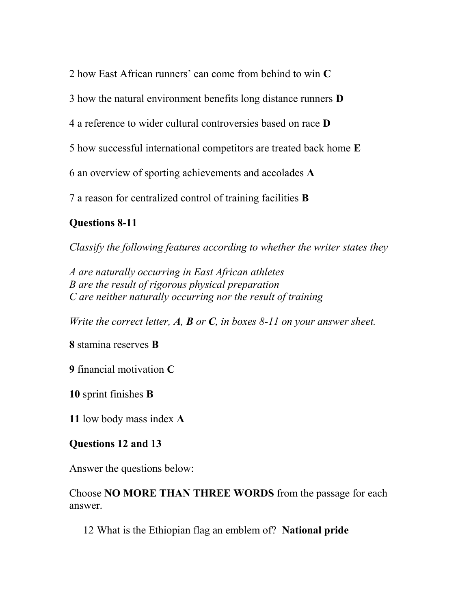2 how East African runners" can come from behind to win **C** 

3 how the natural environment benefits long distance runners **D**

4 a reference to wider cultural controversies based on race **D**

5 how successful international competitors are treated back home **E**

6 an overview of sporting achievements and accolades **A**

7 a reason for centralized control of training facilities **B** 

## **Questions 8-11**

*Classify the following features according to whether the writer states they*

*A are naturally occurring in East African athletes B are the result of rigorous physical preparation C are neither naturally occurring nor the result of training* 

*Write the correct letter, A, B or C, in boxes 8-11 on your answer sheet.*

**8** stamina reserves **B**

**9** financial motivation **C**

**10** sprint finishes **B**

**11** low body mass index **A**

## **Questions 12 and 13**

Answer the questions below:

Choose **NO MORE THAN THREE WORDS** from the passage for each answer.

12 What is the Ethiopian flag an emblem of? **National pride**